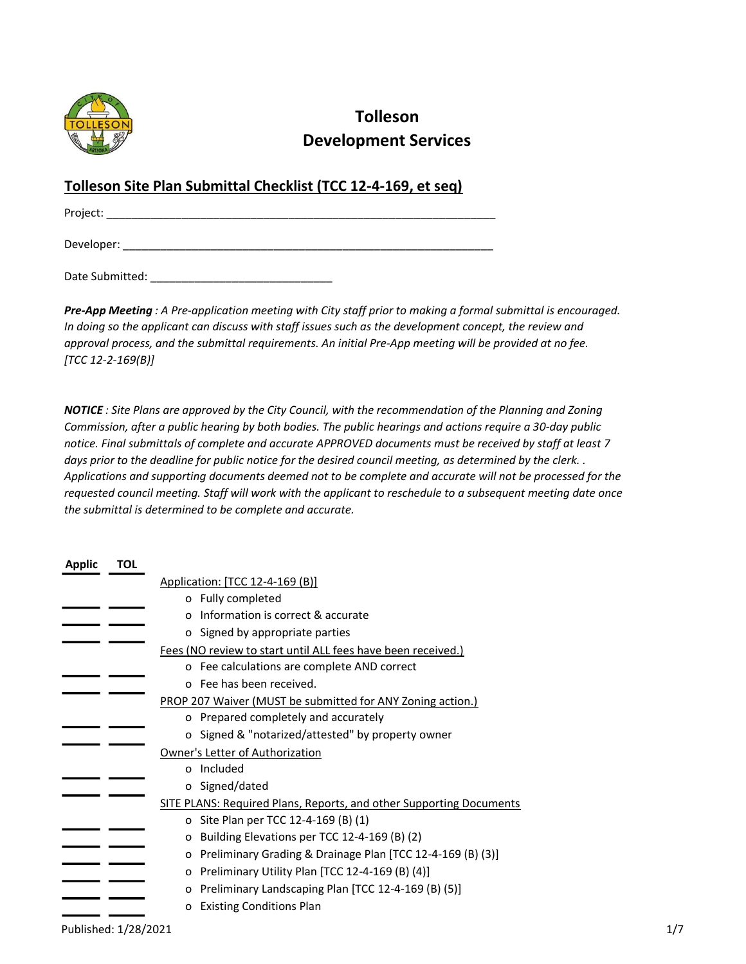

# Tolleson Development Services

## Tolleson Site Plan Submittal Checklist (TCC 12-4-169, et seq)

Project: \_\_\_\_\_\_\_\_\_\_\_\_\_\_\_\_\_\_\_\_\_\_\_\_\_\_\_\_\_\_\_\_\_\_\_\_\_\_\_\_\_\_\_\_\_\_\_\_\_\_\_\_\_\_\_\_\_\_\_\_\_\_

Developer:

Date Submitted:

Pre-App Meeting : A Pre-application meeting with City staff prior to making a formal submittal is encouraged. In doing so the applicant can discuss with staff issues such as the development concept, the review and approval process, and the submittal requirements. An initial Pre-App meeting will be provided at no fee.  $[TCC 12-2-169(B)]$ 

NOTICE : Site Plans are approved by the City Council, with the recommendation of the Planning and Zoning Commission, after a public hearing by both bodies. The public hearings and actions require a 30-day public notice. Final submittals of complete and accurate APPROVED documents must be received by staff at least 7 days prior to the deadline for public notice for the desired council meeting, as determined by the clerk. . Applications and supporting documents deemed not to be complete and accurate will not be processed for the requested council meeting. Staff will work with the applicant to reschedule to a subsequent meeting date once the submittal is determined to be complete and accurate.

| <b>Applic</b> | TOL |                                                                     |
|---------------|-----|---------------------------------------------------------------------|
|               |     | Application: [TCC 12-4-169 (B)]                                     |
|               |     | o Fully completed                                                   |
|               |     | Information is correct & accurate<br>$\Omega$                       |
|               |     | o Signed by appropriate parties                                     |
|               |     | Fees (NO review to start until ALL fees have been received.)        |
|               |     | o Fee calculations are complete AND correct                         |
|               |     | o Fee has been received.                                            |
|               |     | PROP 207 Waiver (MUST be submitted for ANY Zoning action.)          |
|               |     | o Prepared completely and accurately                                |
|               |     | o Signed & "notarized/attested" by property owner                   |
|               |     | Owner's Letter of Authorization                                     |
|               |     | o Included                                                          |
|               |     | o Signed/dated                                                      |
|               |     | SITE PLANS: Required Plans, Reports, and other Supporting Documents |
|               |     | o Site Plan per TCC 12-4-169 (B) (1)                                |
|               |     | Building Elevations per TCC 12-4-169 (B) (2)<br>o                   |
|               |     | Preliminary Grading & Drainage Plan [TCC 12-4-169 (B) (3)]<br>o     |
|               |     | Preliminary Utility Plan [TCC 12-4-169 (B) (4)]<br>o                |
|               |     | Preliminary Landscaping Plan [TCC 12-4-169 (B) (5)]<br>0            |
|               |     | <b>Existing Conditions Plan</b><br>o                                |
|               |     |                                                                     |

Published: 1/28/2021 2020 2021 2020 2021 2021 2022 2021 2022 2021 2022 2022 2021 2022 2021 2022 2022 2022 2021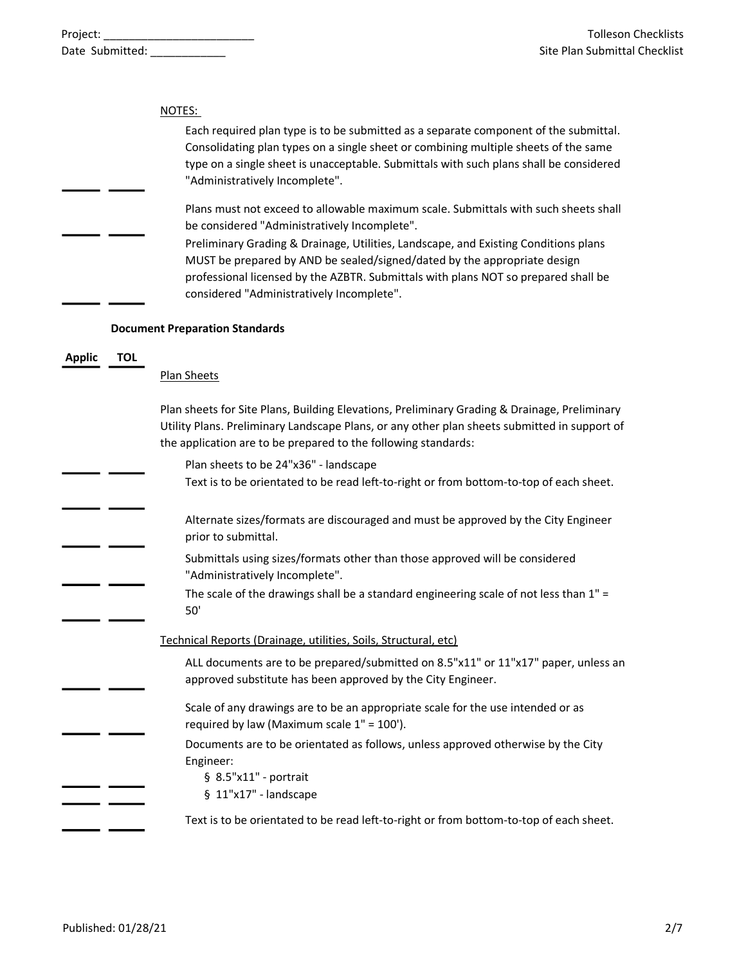|               |            | NOTES:<br>Each required plan type is to be submitted as a separate component of the submittal.<br>Consolidating plan types on a single sheet or combining multiple sheets of the same<br>type on a single sheet is unacceptable. Submittals with such plans shall be considered<br>"Administratively Incomplete".<br>Plans must not exceed to allowable maximum scale. Submittals with such sheets shall<br>be considered "Administratively Incomplete".<br>Preliminary Grading & Drainage, Utilities, Landscape, and Existing Conditions plans<br>MUST be prepared by AND be sealed/signed/dated by the appropriate design |
|---------------|------------|-----------------------------------------------------------------------------------------------------------------------------------------------------------------------------------------------------------------------------------------------------------------------------------------------------------------------------------------------------------------------------------------------------------------------------------------------------------------------------------------------------------------------------------------------------------------------------------------------------------------------------|
|               |            | professional licensed by the AZBTR. Submittals with plans NOT so prepared shall be<br>considered "Administratively Incomplete".                                                                                                                                                                                                                                                                                                                                                                                                                                                                                             |
|               |            | <b>Document Preparation Standards</b>                                                                                                                                                                                                                                                                                                                                                                                                                                                                                                                                                                                       |
| <b>Applic</b> | <b>TOL</b> | Plan Sheets                                                                                                                                                                                                                                                                                                                                                                                                                                                                                                                                                                                                                 |
|               |            | Plan sheets for Site Plans, Building Elevations, Preliminary Grading & Drainage, Preliminary<br>Utility Plans. Preliminary Landscape Plans, or any other plan sheets submitted in support of<br>the application are to be prepared to the following standards:                                                                                                                                                                                                                                                                                                                                                              |
|               |            | Plan sheets to be 24"x36" - landscape<br>Text is to be orientated to be read left-to-right or from bottom-to-top of each sheet.                                                                                                                                                                                                                                                                                                                                                                                                                                                                                             |
|               |            | Alternate sizes/formats are discouraged and must be approved by the City Engineer<br>prior to submittal.                                                                                                                                                                                                                                                                                                                                                                                                                                                                                                                    |
|               |            | Submittals using sizes/formats other than those approved will be considered<br>"Administratively Incomplete".                                                                                                                                                                                                                                                                                                                                                                                                                                                                                                               |
|               |            | The scale of the drawings shall be a standard engineering scale of not less than 1" =<br>50'                                                                                                                                                                                                                                                                                                                                                                                                                                                                                                                                |
|               |            | Technical Reports (Drainage, utilities, Soils, Structural, etc)                                                                                                                                                                                                                                                                                                                                                                                                                                                                                                                                                             |
|               |            | ALL documents are to be prepared/submitted on 8.5"x11" or 11"x17" paper, unless an<br>approved substitute has been approved by the City Engineer.                                                                                                                                                                                                                                                                                                                                                                                                                                                                           |
|               |            | Scale of any drawings are to be an appropriate scale for the use intended or as<br>required by law (Maximum scale 1" = 100').                                                                                                                                                                                                                                                                                                                                                                                                                                                                                               |
|               |            | Documents are to be orientated as follows, unless approved otherwise by the City<br>Engineer:<br>§ 8.5"x11" - portrait<br>§ 11"x17" - landscape                                                                                                                                                                                                                                                                                                                                                                                                                                                                             |
|               |            | Text is to be orientated to be read left-to-right or from bottom-to-top of each sheet.                                                                                                                                                                                                                                                                                                                                                                                                                                                                                                                                      |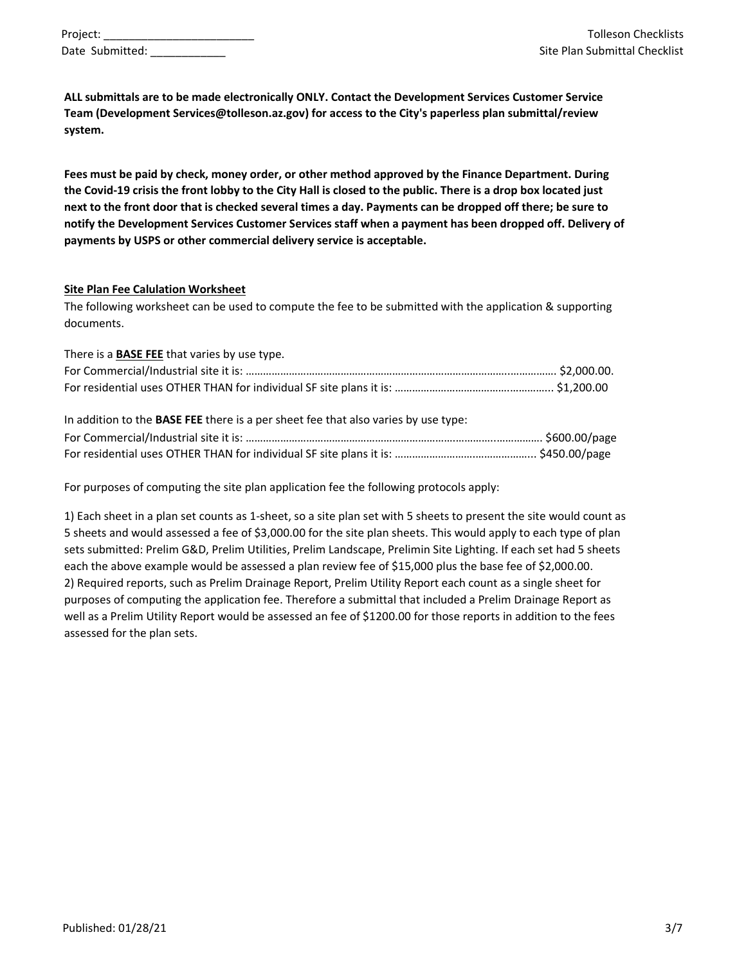| Project:        |  |
|-----------------|--|
| Date Submitted: |  |

ALL submittals are to be made electronically ONLY. Contact the Development Services Customer Service Team (Development Services@tolleson.az.gov) for access to the City's paperless plan submittal/review system.

Fees must be paid by check, money order, or other method approved by the Finance Department. During the Covid-19 crisis the front lobby to the City Hall is closed to the public. There is a drop box located just next to the front door that is checked several times a day. Payments can be dropped off there; be sure to notify the Development Services Customer Services staff when a payment has been dropped off. Delivery of payments by USPS or other commercial delivery service is acceptable.

#### Site Plan Fee Calulation Worksheet

The following worksheet can be used to compute the fee to be submitted with the application & supporting documents.

| There is a <b>BASE FEE</b> that varies by use type.                                |  |
|------------------------------------------------------------------------------------|--|
|                                                                                    |  |
|                                                                                    |  |
| In addition to the BASE FEE there is a per sheet fee that also varies by use type: |  |
|                                                                                    |  |
|                                                                                    |  |

For purposes of computing the site plan application fee the following protocols apply:

1) Each sheet in a plan set counts as 1-sheet, so a site plan set with 5 sheets to present the site would count as 5 sheets and would assessed a fee of \$3,000.00 for the site plan sheets. This would apply to each type of plan sets submitted: Prelim G&D, Prelim Utilities, Prelim Landscape, Prelimin Site Lighting. If each set had 5 sheets each the above example would be assessed a plan review fee of \$15,000 plus the base fee of \$2,000.00. 2) Required reports, such as Prelim Drainage Report, Prelim Utility Report each count as a single sheet for purposes of computing the application fee. Therefore a submittal that included a Prelim Drainage Report as well as a Prelim Utility Report would be assessed an fee of \$1200.00 for those reports in addition to the fees assessed for the plan sets.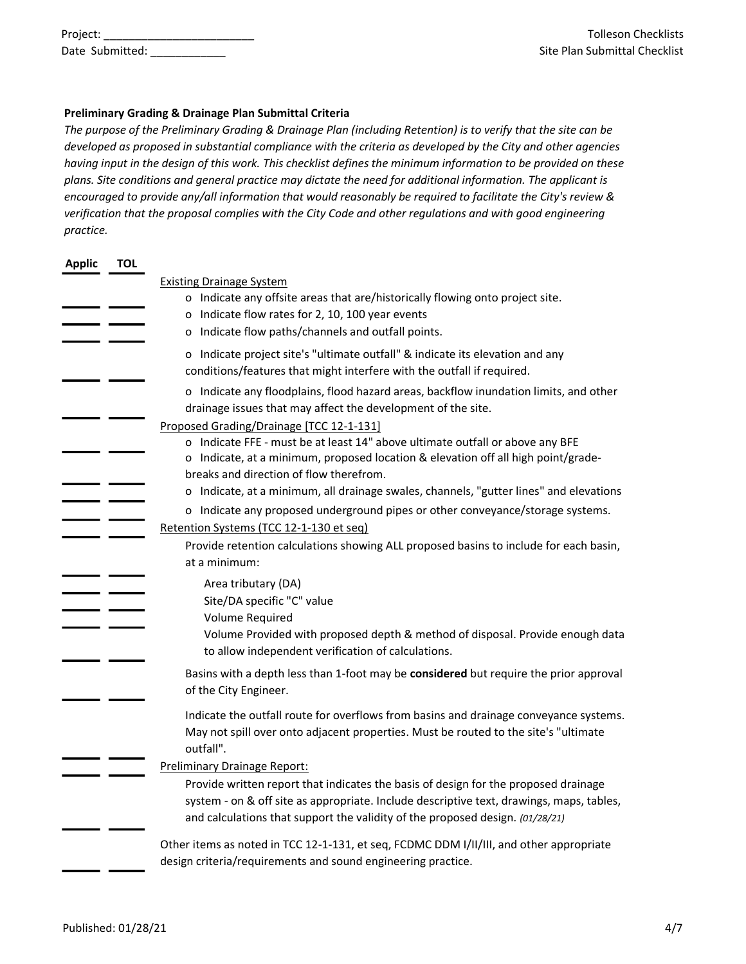| Project: |                 |  |
|----------|-----------------|--|
|          | Date Submitted: |  |

#### Preliminary Grading & Drainage Plan Submittal Criteria

The purpose of the Preliminary Grading & Drainage Plan (including Retention) is to verify that the site can be developed as proposed in substantial compliance with the criteria as developed by the City and other agencies having input in the design of this work. This checklist defines the minimum information to be provided on these plans. Site conditions and general practice may dictate the need for additional information. The applicant is encouraged to provide any/all information that would reasonably be required to facilitate the City's review & verification that the proposal complies with the City Code and other regulations and with good engineering practice.

| <b>Applic</b> | <b>TOL</b> |                                                                                                                                                                                                                                                                  |
|---------------|------------|------------------------------------------------------------------------------------------------------------------------------------------------------------------------------------------------------------------------------------------------------------------|
|               |            | <b>Existing Drainage System</b>                                                                                                                                                                                                                                  |
|               |            | o Indicate any offsite areas that are/historically flowing onto project site.                                                                                                                                                                                    |
|               |            | o Indicate flow rates for 2, 10, 100 year events                                                                                                                                                                                                                 |
|               |            | o Indicate flow paths/channels and outfall points.                                                                                                                                                                                                               |
|               |            | o Indicate project site's "ultimate outfall" & indicate its elevation and any<br>conditions/features that might interfere with the outfall if required.                                                                                                          |
|               |            | o Indicate any floodplains, flood hazard areas, backflow inundation limits, and other<br>drainage issues that may affect the development of the site.                                                                                                            |
|               |            | Proposed Grading/Drainage [TCC 12-1-131]                                                                                                                                                                                                                         |
|               |            | o Indicate FFE - must be at least 14" above ultimate outfall or above any BFE<br>o Indicate, at a minimum, proposed location & elevation off all high point/grade-<br>breaks and direction of flow therefrom.                                                    |
|               |            | o Indicate, at a minimum, all drainage swales, channels, "gutter lines" and elevations                                                                                                                                                                           |
|               |            | o Indicate any proposed underground pipes or other conveyance/storage systems.                                                                                                                                                                                   |
|               |            | Retention Systems (TCC 12-1-130 et seq)                                                                                                                                                                                                                          |
|               |            | Provide retention calculations showing ALL proposed basins to include for each basin,                                                                                                                                                                            |
|               |            | at a minimum:                                                                                                                                                                                                                                                    |
|               |            | Area tributary (DA)<br>Site/DA specific "C" value                                                                                                                                                                                                                |
|               |            | Volume Required                                                                                                                                                                                                                                                  |
|               |            | Volume Provided with proposed depth & method of disposal. Provide enough data<br>to allow independent verification of calculations.                                                                                                                              |
|               |            | Basins with a depth less than 1-foot may be considered but require the prior approval<br>of the City Engineer.                                                                                                                                                   |
|               |            | Indicate the outfall route for overflows from basins and drainage conveyance systems.<br>May not spill over onto adjacent properties. Must be routed to the site's "ultimate<br>outfall".                                                                        |
|               |            | <b>Preliminary Drainage Report:</b>                                                                                                                                                                                                                              |
|               |            | Provide written report that indicates the basis of design for the proposed drainage<br>system - on & off site as appropriate. Include descriptive text, drawings, maps, tables,<br>and calculations that support the validity of the proposed design. (01/28/21) |
|               |            | Other items as noted in TCC 12-1-131, et seq, FCDMC DDM I/II/III, and other appropriate<br>design criteria/requirements and sound engineering practice.                                                                                                          |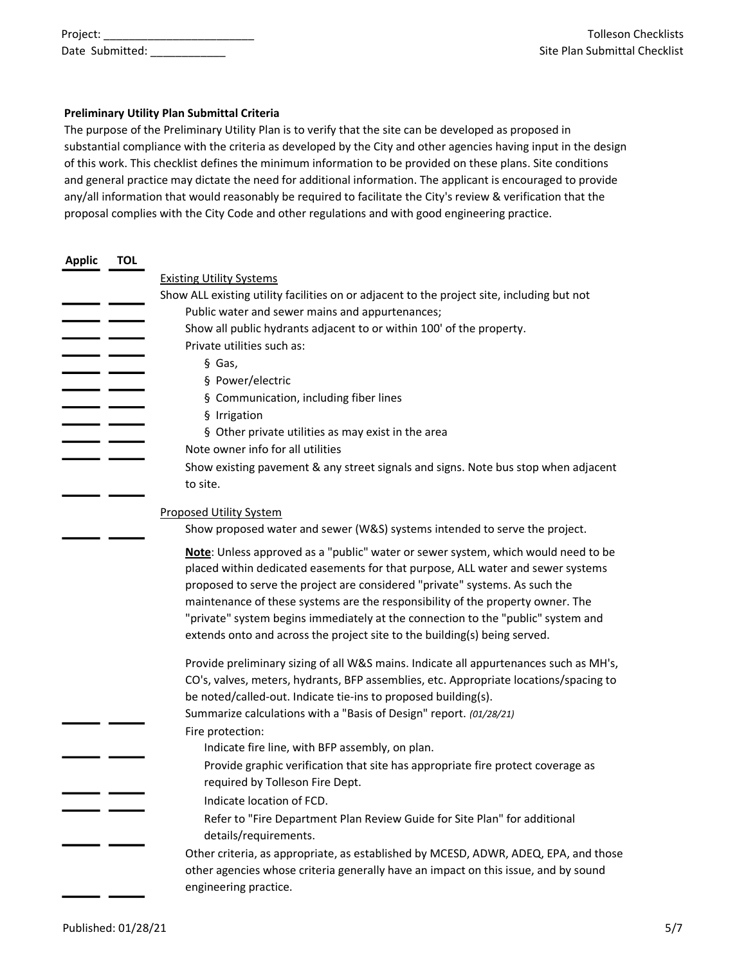| Project:        |  |
|-----------------|--|
| Date Submitted: |  |

#### Preliminary Utility Plan Submittal Criteria

The purpose of the Preliminary Utility Plan is to verify that the site can be developed as proposed in substantial compliance with the criteria as developed by the City and other agencies having input in the design of this work. This checklist defines the minimum information to be provided on these plans. Site conditions and general practice may dictate the need for additional information. The applicant is encouraged to provide any/all information that would reasonably be required to facilitate the City's review & verification that the proposal complies with the City Code and other regulations and with good engineering practice.

| <b>Applic</b> | <b>TOL</b> |                                                                                            |
|---------------|------------|--------------------------------------------------------------------------------------------|
|               |            | <b>Existing Utility Systems</b>                                                            |
|               |            | Show ALL existing utility facilities on or adjacent to the project site, including but not |
|               |            | Public water and sewer mains and appurtenances;                                            |
|               |            | Show all public hydrants adjacent to or within 100' of the property.                       |
|               |            | Private utilities such as:                                                                 |
|               |            | § Gas,                                                                                     |
|               |            | § Power/electric                                                                           |
|               |            | § Communication, including fiber lines                                                     |
|               |            | § Irrigation                                                                               |
|               |            | § Other private utilities as may exist in the area                                         |
|               |            | Note owner info for all utilities                                                          |
|               |            | Show existing pavement & any street signals and signs. Note bus stop when adjacent         |
|               |            | to site.                                                                                   |
|               |            |                                                                                            |
|               |            | <b>Proposed Utility System</b>                                                             |
|               |            | Show proposed water and sewer (W&S) systems intended to serve the project.                 |
|               |            | Note: Unless approved as a "public" water or sewer system, which would need to be          |
|               |            | placed within dedicated easements for that purpose, ALL water and sewer systems            |
|               |            | proposed to serve the project are considered "private" systems. As such the                |
|               |            | maintenance of these systems are the responsibility of the property owner. The             |
|               |            | "private" system begins immediately at the connection to the "public" system and           |
|               |            | extends onto and across the project site to the building(s) being served.                  |
|               |            | Provide preliminary sizing of all W&S mains. Indicate all appurtenances such as MH's,      |
|               |            | CO's, valves, meters, hydrants, BFP assemblies, etc. Appropriate locations/spacing to      |
|               |            | be noted/called-out. Indicate tie-ins to proposed building(s).                             |
|               |            | Summarize calculations with a "Basis of Design" report. (01/28/21)                         |
|               |            | Fire protection:                                                                           |
|               |            | Indicate fire line, with BFP assembly, on plan.                                            |
|               |            | Provide graphic verification that site has appropriate fire protect coverage as            |
|               |            | required by Tolleson Fire Dept.                                                            |
|               |            | Indicate location of FCD.                                                                  |
|               |            | Refer to "Fire Department Plan Review Guide for Site Plan" for additional                  |
|               |            | details/requirements.                                                                      |
|               |            | Other criteria, as appropriate, as established by MCESD, ADWR, ADEQ, EPA, and those        |
|               |            | other agencies whose criteria generally have an impact on this issue, and by sound         |
|               |            | engineering practice.                                                                      |
|               |            |                                                                                            |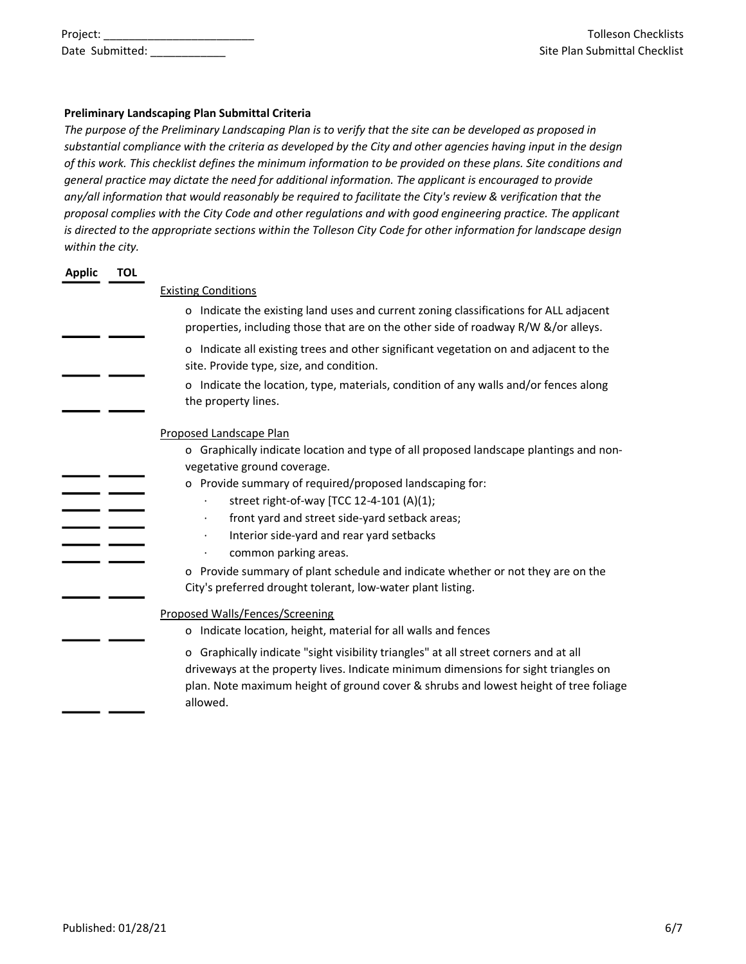| Project: |                 |  |
|----------|-----------------|--|
|          | Date Submitted: |  |

### Preliminary Landscaping Plan Submittal Criteria

The purpose of the Preliminary Landscaping Plan is to verify that the site can be developed as proposed in substantial compliance with the criteria as developed by the City and other agencies having input in the design of this work. This checklist defines the minimum information to be provided on these plans. Site conditions and general practice may dictate the need for additional information. The applicant is encouraged to provide any/all information that would reasonably be required to facilitate the City's review & verification that the proposal complies with the City Code and other regulations and with good engineering practice. The applicant is directed to the appropriate sections within the Tolleson City Code for other information for landscape design within the city.

| <b>Applic</b> | <b>TOL</b> |                                                                                                                                                                                                                                                                                 |
|---------------|------------|---------------------------------------------------------------------------------------------------------------------------------------------------------------------------------------------------------------------------------------------------------------------------------|
|               |            | <b>Existing Conditions</b>                                                                                                                                                                                                                                                      |
|               |            | o Indicate the existing land uses and current zoning classifications for ALL adjacent<br>properties, including those that are on the other side of roadway R/W &/or alleys.                                                                                                     |
|               |            | o Indicate all existing trees and other significant vegetation on and adjacent to the<br>site. Provide type, size, and condition.                                                                                                                                               |
|               |            | o Indicate the location, type, materials, condition of any walls and/or fences along<br>the property lines.                                                                                                                                                                     |
|               |            | Proposed Landscape Plan                                                                                                                                                                                                                                                         |
|               |            | o Graphically indicate location and type of all proposed landscape plantings and non-                                                                                                                                                                                           |
|               |            | vegetative ground coverage.                                                                                                                                                                                                                                                     |
|               |            | o Provide summary of required/proposed landscaping for:                                                                                                                                                                                                                         |
|               |            | street right-of-way [TCC 12-4-101 (A)(1);                                                                                                                                                                                                                                       |
|               |            | front yard and street side-yard setback areas;<br>$\bullet$                                                                                                                                                                                                                     |
|               |            | Interior side-yard and rear yard setbacks                                                                                                                                                                                                                                       |
|               |            | common parking areas.                                                                                                                                                                                                                                                           |
|               |            | o Provide summary of plant schedule and indicate whether or not they are on the<br>City's preferred drought tolerant, low-water plant listing.                                                                                                                                  |
|               |            | Proposed Walls/Fences/Screening                                                                                                                                                                                                                                                 |
|               |            | Indicate location, height, material for all walls and fences<br>0                                                                                                                                                                                                               |
|               |            | o Graphically indicate "sight visibility triangles" at all street corners and at all<br>driveways at the property lives. Indicate minimum dimensions for sight triangles on<br>plan. Note maximum height of ground cover & shrubs and lowest height of tree foliage<br>allowed. |